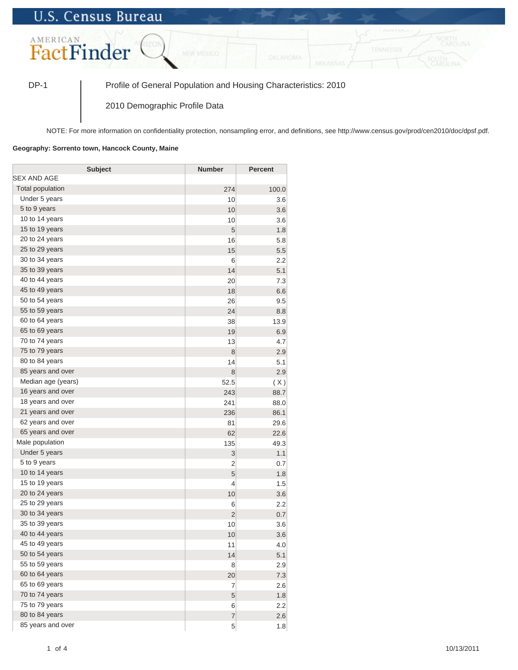## **U.S. Census Bureau**



DP-1 Profile of General Population and Housing Characteristics: 2010

2010 Demographic Profile Data

NOTE: For more information on confidentiality protection, nonsampling error, and definitions, see http://www.census.gov/prod/cen2010/doc/dpsf.pdf.

## **Geography: Sorrento town, Hancock County, Maine**

| <b>Subject</b>     | <b>Number</b>  | <b>Percent</b> |
|--------------------|----------------|----------------|
| SEX AND AGE        |                |                |
| Total population   | 274            | 100.0          |
| Under 5 years      | 10             | 3.6            |
| 5 to 9 years       | 10             | 3.6            |
| 10 to 14 years     | 10             | 3.6            |
| 15 to 19 years     | 5              | 1.8            |
| 20 to 24 years     | 16             | 5.8            |
| 25 to 29 years     | 15             | 5.5            |
| 30 to 34 years     | 6              | 2.2            |
| 35 to 39 years     | 14             | 5.1            |
| 40 to 44 years     | 20             | 7.3            |
| 45 to 49 years     | 18             | 6.6            |
| 50 to 54 years     | 26             | 9.5            |
| 55 to 59 years     | 24             | 8.8            |
| 60 to 64 years     | 38             | 13.9           |
| 65 to 69 years     | 19             | 6.9            |
| 70 to 74 years     | 13             | 4.7            |
| 75 to 79 years     | 8              | 2.9            |
| 80 to 84 years     | 14             | 5.1            |
| 85 years and over  | 8              | 2.9            |
| Median age (years) | 52.5           | (X)            |
| 16 years and over  | 243            | 88.7           |
| 18 years and over  | 241            | 88.0           |
| 21 years and over  | 236            | 86.1           |
| 62 years and over  | 81             | 29.6           |
| 65 years and over  | 62             | 22.6           |
| Male population    | 135            | 49.3           |
| Under 5 years      | 3              | 1.1            |
| 5 to 9 years       | $\overline{2}$ | 0.7            |
| 10 to 14 years     | 5              | 1.8            |
| 15 to 19 years     | $\overline{4}$ | 1.5            |
| 20 to 24 years     | 10             | 3.6            |
| 25 to 29 years     | 6              | 2.2            |
| 30 to 34 years     | $\overline{2}$ | 0.7            |
| 35 to 39 years     | 10             | 3.6            |
| 40 to 44 years     | 10             | 3.6            |
| 45 to 49 years     | 11             | 4.0            |
| 50 to 54 years     | 14             | 5.1            |
| 55 to 59 years     | 8              | 2.9            |
| 60 to 64 years     | 20             | 7.3            |
| 65 to 69 years     | $\overline{7}$ | 2.6            |
| 70 to 74 years     | 5              | 1.8            |
| 75 to 79 years     | 6              | 2.2            |
| 80 to 84 years     | $\overline{7}$ | 2.6            |
| 85 years and over  | 5              | 1.8            |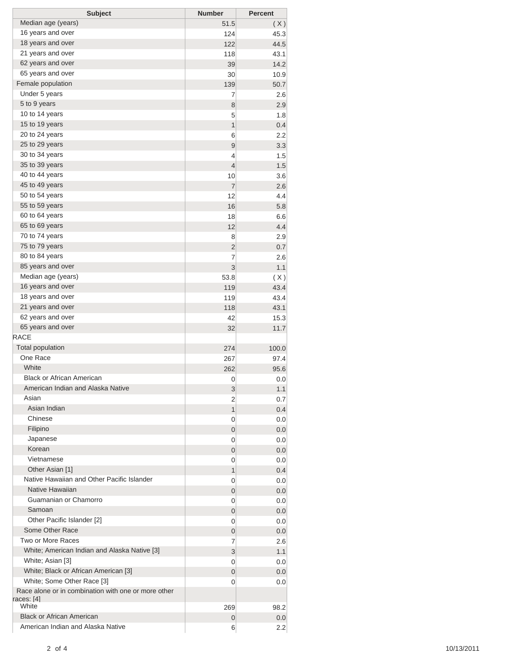| <b>Subject</b>                                                                    | <b>Number</b>  | <b>Percent</b> |
|-----------------------------------------------------------------------------------|----------------|----------------|
| Median age (years)                                                                | 51.5           | (X)            |
| 16 years and over                                                                 | 124            | 45.3           |
| 18 years and over                                                                 | 122            | 44.5           |
| 21 years and over                                                                 | 118            | 43.1           |
| 62 years and over                                                                 | 39             | 14.2           |
| 65 years and over                                                                 | 30             | 10.9           |
| Female population                                                                 | 139            | 50.7           |
| Under 5 years                                                                     | 7              | 2.6            |
| 5 to 9 years                                                                      | 8              | 2.9            |
| 10 to 14 years                                                                    | 5              | 1.8            |
| 15 to 19 years                                                                    | 1              | 0.4            |
| 20 to 24 years                                                                    | 6              | 2.2            |
| 25 to 29 years                                                                    | 9              | 3.3            |
| 30 to 34 years                                                                    | 4              | 1.5            |
| 35 to 39 years                                                                    | 4              | 1.5            |
| 40 to 44 years                                                                    | 10             | 3.6            |
| 45 to 49 years<br>50 to 54 years                                                  | $\overline{7}$ | 2.6            |
| 55 to 59 years                                                                    | 12             | 4.4            |
| 60 to 64 years                                                                    | 16             | 5.8            |
| 65 to 69 years                                                                    | 18<br>12       | 6.6<br>4.4     |
| 70 to 74 years                                                                    | 8              | 2.9            |
| 75 to 79 years                                                                    | 2              | 0.7            |
| 80 to 84 years                                                                    | 7              | 2.6            |
| 85 years and over                                                                 | 3              | 1.1            |
| Median age (years)                                                                | 53.8           | (X)            |
| 16 years and over                                                                 | 119            | 43.4           |
| 18 years and over                                                                 | 119            | 43.4           |
| 21 years and over                                                                 | 118            | 43.1           |
| 62 years and over                                                                 | 42             | 15.3           |
| 65 years and over                                                                 | 32             | 11.7           |
| <b>RACE</b>                                                                       |                |                |
| <b>Total population</b>                                                           | 274            | 100.0          |
| One Race                                                                          | 267            | 97.4           |
| White                                                                             | 262            | 95.6           |
| <b>Black or African American</b>                                                  | 0              | 0.0            |
| American Indian and Alaska Native                                                 | 3              | 1.1            |
| Asian                                                                             | 2              | 0.7            |
| Asian Indian                                                                      | 1              | 0.4            |
| Chinese                                                                           | 0              | 0.0            |
| Filipino                                                                          | 0              | 0.0            |
| Japanese                                                                          | 0              | 0.0            |
| Korean                                                                            | 0              | 0.0            |
| Vietnamese                                                                        | 0              | 0.0            |
| Other Asian [1]                                                                   | 1              | 0.4            |
| Native Hawaiian and Other Pacific Islander                                        | 0              | 0.0            |
| Native Hawaiian                                                                   | 0              | 0.0            |
| Guamanian or Chamorro                                                             | 0              | 0.0            |
| Samoan                                                                            | 0              | 0.0            |
| Other Pacific Islander [2]                                                        | 0              | 0.0            |
| Some Other Race                                                                   | 0              | 0.0            |
| Two or More Races<br>White; American Indian and Alaska Native [3]                 | 7              | 2.6            |
|                                                                                   | 3              | 1.1            |
| White; Asian [3]                                                                  | 0              | 0.0            |
| White; Black or African American [3]                                              | 0              | 0.0            |
| White; Some Other Race [3]<br>Race alone or in combination with one or more other | 0              | 0.0            |
| races: [4]<br>White                                                               | 269            | 98.2           |
| <b>Black or African American</b>                                                  | 0              | 0.0            |
| American Indian and Alaska Native                                                 | 6              | 2.2            |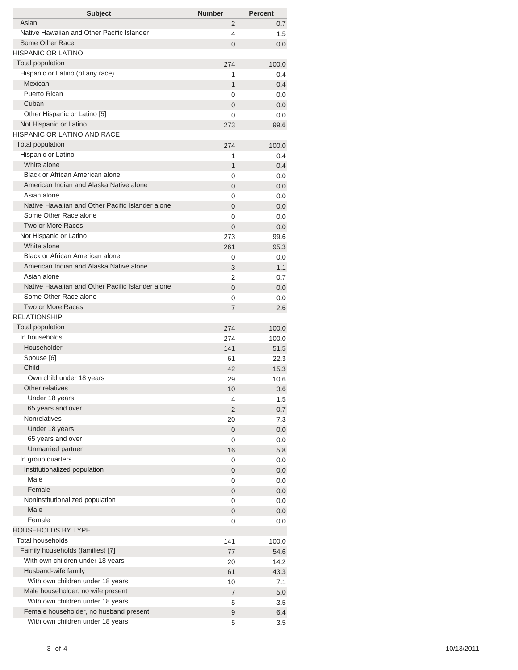| <b>Subject</b>                                   | <b>Number</b>  | <b>Percent</b> |
|--------------------------------------------------|----------------|----------------|
| Asian                                            | 2              | 0.7            |
| Native Hawaiian and Other Pacific Islander       | 4              | 1.5            |
| Some Other Race                                  | 0              | 0.0            |
| HISPANIC OR LATINO                               |                |                |
| <b>Total population</b>                          | 274            | 100.0          |
| Hispanic or Latino (of any race)                 | 1              | 0.4            |
| Mexican                                          | 1              | 0.4            |
| Puerto Rican                                     | 0              | 0.0            |
| Cuban                                            | $\overline{0}$ | 0.0            |
| Other Hispanic or Latino [5]                     | 0              | 0.0            |
| Not Hispanic or Latino                           | 273            | 99.6           |
| HISPANIC OR LATINO AND RACE                      |                |                |
| <b>Total population</b>                          | 274            | 100.0          |
| Hispanic or Latino                               | 1              | 0.4            |
| White alone<br>Black or African American alone   | 1              | 0.4            |
| American Indian and Alaska Native alone          | 0              | 0.0            |
| Asian alone                                      | 0              | 0.0            |
| Native Hawaiian and Other Pacific Islander alone | 0              | 0.0            |
| Some Other Race alone                            | $\overline{0}$ | 0.0            |
| Two or More Races                                | 0              | 0.0            |
| Not Hispanic or Latino                           | $\overline{0}$ | 0.0            |
| White alone                                      | 273            | 99.6           |
| Black or African American alone                  | 261            | 95.3           |
| American Indian and Alaska Native alone          | 0              | 0.0<br>1.1     |
| Asian alone                                      | 3<br>2         | 0.7            |
| Native Hawaiian and Other Pacific Islander alone | $\overline{0}$ | 0.0            |
| Some Other Race alone                            | 0              | 0.0            |
| Two or More Races                                | 7              | 2.6            |
| <b>RELATIONSHIP</b>                              |                |                |
| Total population                                 | 274            | 100.0          |
| In households                                    | 274            | 100.0          |
| Householder                                      | 141            | 51.5           |
| Spouse [6]                                       | 61             | 22.3           |
| Child                                            | 42             | 15.3           |
| Own child under 18 years                         | 29             | 10.6           |
| Other relatives                                  | 10             | 3.6            |
| Under 18 years                                   | 4              | 1.5            |
| 65 years and over                                | 2              | 0.7            |
| <b>Nonrelatives</b>                              | 20             | 7.3            |
| Under 18 years                                   | 0              | 0.0            |
| 65 years and over                                | 0              | 0.0            |
| Unmarried partner                                | 16             | 5.8            |
| In group quarters                                | 0              | 0.0            |
| Institutionalized population                     | 0              | 0.0            |
| Male                                             | 0              | 0.0            |
| Female                                           | 0              | 0.0            |
| Noninstitutionalized population                  | 0              | 0.0            |
| Male                                             | 0              | 0.0            |
| Female                                           | 0              | 0.0            |
| HOUSEHOLDS BY TYPE                               |                |                |
| <b>Total households</b>                          | 141            | 100.0          |
| Family households (families) [7]                 | 77             | 54.6           |
| With own children under 18 years                 | 20             | 14.2           |
| Husband-wife family                              | 61             | 43.3           |
| With own children under 18 years                 | 10             | 7.1            |
| Male householder, no wife present                | $\overline{7}$ | 5.0            |
| With own children under 18 years                 | 5              | 3.5            |
| Female householder, no husband present           | 9              | 6.4            |
| With own children under 18 years                 | 5              | 3.5            |